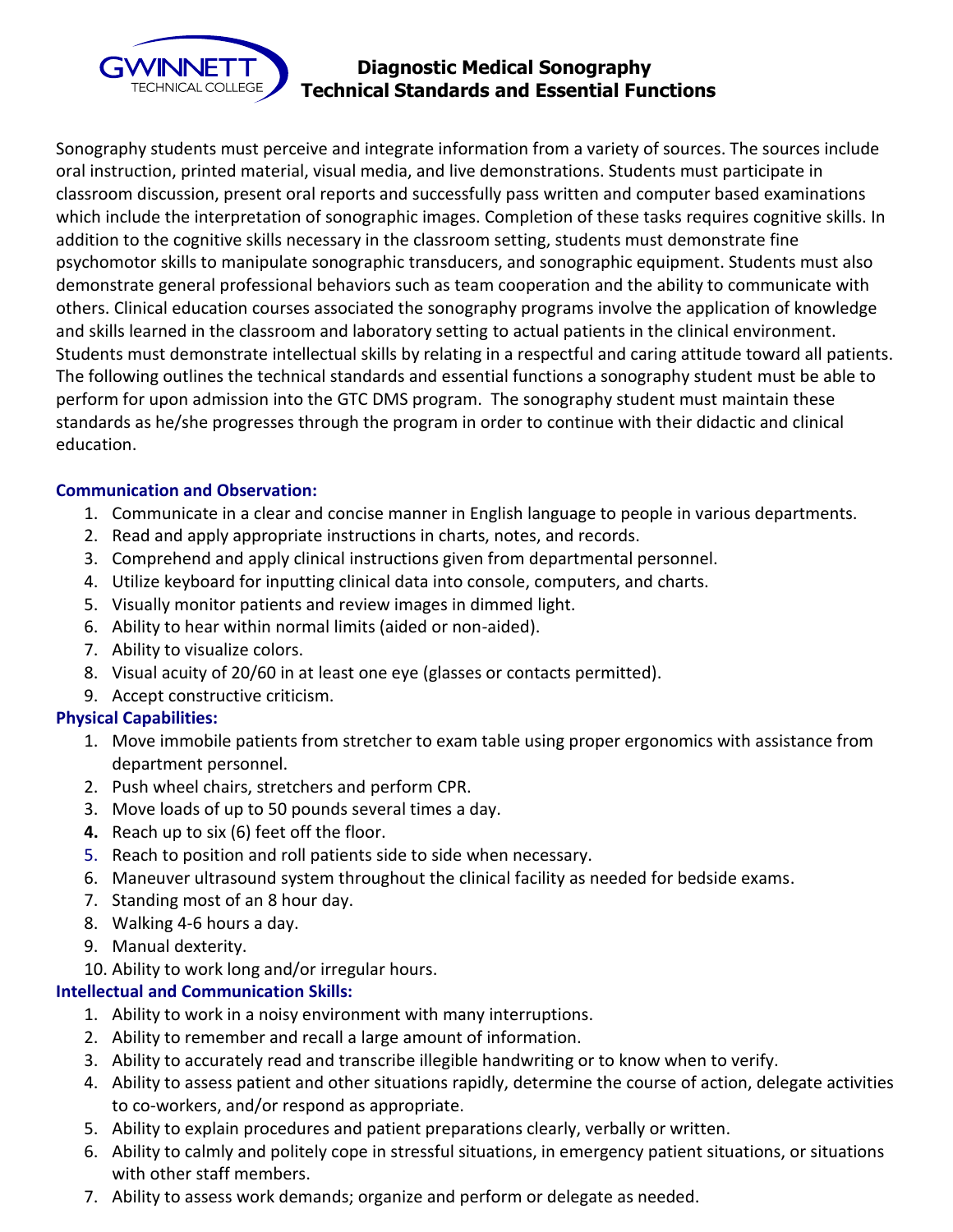

# **Diagnostic Medical Sonography Technical Standards and Essential Functions**

 Sonography students must perceive and integrate information from a variety of sources. The sources include oral instruction, printed material, visual media, and live demonstrations. Students must participate in classroom discussion, present oral reports and successfully pass written and computer based examinations which include the interpretation of sonographic images. Completion of these tasks requires cognitive skills. In addition to the cognitive skills necessary in the classroom setting, students must demonstrate fine psychomotor skills to manipulate sonographic transducers, and sonographic equipment. Students must also demonstrate general professional behaviors such as team cooperation and the ability to communicate with others. Clinical education courses associated the sonography programs involve the application of knowledge and skills learned in the classroom and laboratory setting to actual patients in the clinical environment. Students must demonstrate intellectual skills by relating in a respectful and caring attitude toward all patients. The following outlines the technical standards and essential functions a sonography student must be able to perform for upon admission into the GTC DMS program. The sonography student must maintain these standards as he/she progresses through the program in order to continue with their didactic and clinical education.

#### **Communication and Observation:**

- 1. Communicate in a clear and concise manner in English language to people in various departments.
- 2. Read and apply appropriate instructions in charts, notes, and records.
- 3. Comprehend and apply clinical instructions given from departmental personnel.
- 4. Utilize keyboard for inputting clinical data into console, computers, and charts.
- 5. Visually monitor patients and review images in dimmed light.
- 6. Ability to hear within normal limits (aided or non-aided).
- 7. Ability to visualize colors.
- 8. Visual acuity of 20/60 in at least one eye (glasses or contacts permitted).
- 9. Accept constructive criticism.

### **Physical Capabilities:**

- 1. Move immobile patients from stretcher to exam table using proper ergonomics with assistance from department personnel.
- 2. Push wheel chairs, stretchers and perform CPR.
- 3. Move loads of up to 50 pounds several times a day.
- **4.** Reach up to six (6) feet off the floor.
- 5. Reach to position and roll patients side to side when necessary.
- 6. Maneuver ultrasound system throughout the clinical facility as needed for bedside exams.
- 7. Standing most of an 8 hour day.
- 8. Walking 4-6 hours a day.
- 9. Manual dexterity.
- 10. Ability to work long and/or irregular hours.

### **Intellectual and Communication Skills:**

- 1. Ability to work in a noisy environment with many interruptions.
- 2. Ability to remember and recall a large amount of information.
- 3. Ability to accurately read and transcribe illegible handwriting or to know when to verify.
- 4. Ability to assess patient and other situations rapidly, determine the course of action, delegate activities to co-workers, and/or respond as appropriate.
- 5. Ability to explain procedures and patient preparations clearly, verbally or written.
- 6. Ability to calmly and politely cope in stressful situations, in emergency patient situations, or situations with other staff members.
- 7. Ability to assess work demands; organize and perform or delegate as needed.